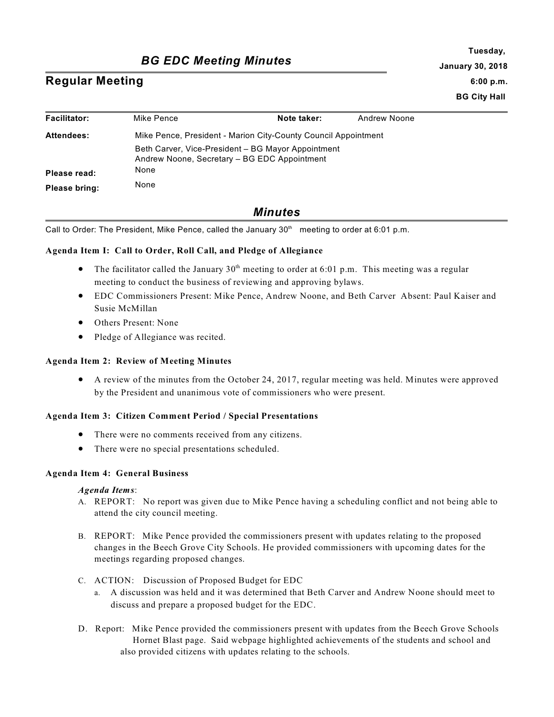# *BG EDC Meeting Minutes*

# **Regular Meeting**

**Tuesday, January 30, 2018 6:00 p.m. BG City Hall**

| <b>Facilitator:</b> | Mike Pence                                                                                         | Note taker: | Andrew Noone |
|---------------------|----------------------------------------------------------------------------------------------------|-------------|--------------|
| <b>Attendees:</b>   | Mike Pence, President - Marion City-County Council Appointment                                     |             |              |
|                     | Beth Carver, Vice-President – BG Mayor Appointment<br>Andrew Noone, Secretary - BG EDC Appointment |             |              |
| Please read:        | None                                                                                               |             |              |
| Please bring:       | None                                                                                               |             |              |

# *Minutes*

Call to Order: The President, Mike Pence, called the January  $30<sup>th</sup>$  meeting to order at 6:01 p.m.

## **Agenda Item I: Call to Order, Roll Call, and Pledge of Allegiance**

- The facilitator called the January  $30<sup>th</sup>$  meeting to order at 6:01 p.m. This meeting was a regular meeting to conduct the business of reviewing and approving bylaws.
- · EDC Commissioners Present: Mike Pence, Andrew Noone, and Beth Carver Absent: Paul Kaiser and Susie McMillan
- · Others Present: None
- Pledge of Allegiance was recited.

#### **Agenda Item 2: Review of Meeting Minutes**

· A review of the minutes from the October 24, 2017, regular meeting was held. Minutes were approved by the President and unanimous vote of commissioners who were present.

#### **Agenda Item 3: Citizen Comment Period / Special Presentations**

- There were no comments received from any citizens.
- There were no special presentations scheduled.

#### **Agenda Item 4: General Business**

#### *Agenda Items*:

- A. REPORT: No report was given due to Mike Pence having a scheduling conflict and not being able to attend the city council meeting.
- B. REPORT: Mike Pence provided the commissioners present with updates relating to the proposed changes in the Beech Grove City Schools. He provided commissioners with upcoming dates for the meetings regarding proposed changes.
- C. ACTION: Discussion of Proposed Budget for EDC
	- a. A discussion was held and it was determined that Beth Carver and Andrew Noone should meet to discuss and prepare a proposed budget for the EDC.
- D. Report: Mike Pence provided the commissioners present with updates from the Beech Grove Schools Hornet Blast page. Said webpage highlighted achievements of the students and school and also provided citizens with updates relating to the schools.